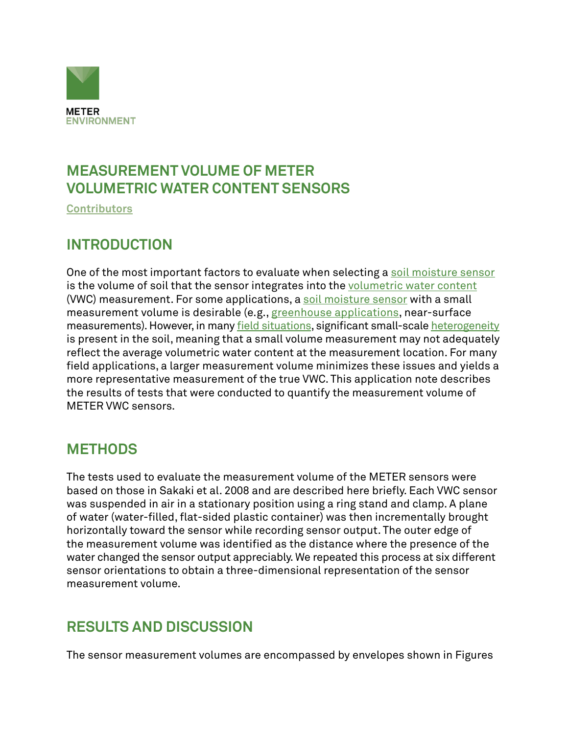

## **MEASUREMENT VOLUME OF METER VOLUMETRIC WATER CONTENT SENSORS**

**[Contributors](https://www.metergroup.com/en/meter-environment)**

#### **INTRODUCTION**

One of the most important factors to evaluate when selecting a [soil moisture sensor](https://www.metergroup.com/en/meter-environment/products/soil-moisture) is the volume of soil that the sensor integrates into the [volumetric water content](https://www.metergroup.com/environment/events/soil-moisture-201-measurements-methods-and-applications/) (VWC) measurement. For some applications, a [soil moisture sensor](https://www.metergroup.com/en/meter-environment/measurement-insights/which-soil-moisture-sensor-perfect-you) with a small measurement volume is desirable (e.g., [greenhouse applications](https://www.metergroup.com/environment/articles/using-soil-water-sensors-efficient-irrigation-greenhouses/), near-surface measurements). However, in many [field situations,](https://www.metergroup.com/environment/articles/plant-available-water-determine-field-capacity-permanent-wilting-point/) significant small-scale [heterogeneity](https://www.metergroup.com/environment/articles/how-many-soil-moisture-sensors-needed/) is present in the soil, meaning that a small volume measurement may not adequately reflect the average volumetric water content at the measurement location. For many field applications, a larger measurement volume minimizes these issues and yields a more representative measurement of the true VWC. This application note describes the results of tests that were conducted to quantify the measurement volume of METER VWC sensors.

## **METHODS**

The tests used to evaluate the measurement volume of the METER sensors were based on those in Sakaki et al. 2008 and are described here briefly. Each VWC sensor was suspended in air in a stationary position using a ring stand and clamp. A plane of water (water-filled, flat-sided plastic container) was then incrementally brought horizontally toward the sensor while recording sensor output. The outer edge of the measurement volume was identified as the distance where the presence of the water changed the sensor output appreciably. We repeated this process at six different sensor orientations to obtain a three-dimensional representation of the sensor measurement volume.

#### **RESULTS AND DISCUSSION**

The sensor measurement volumes are encompassed by envelopes shown in Figures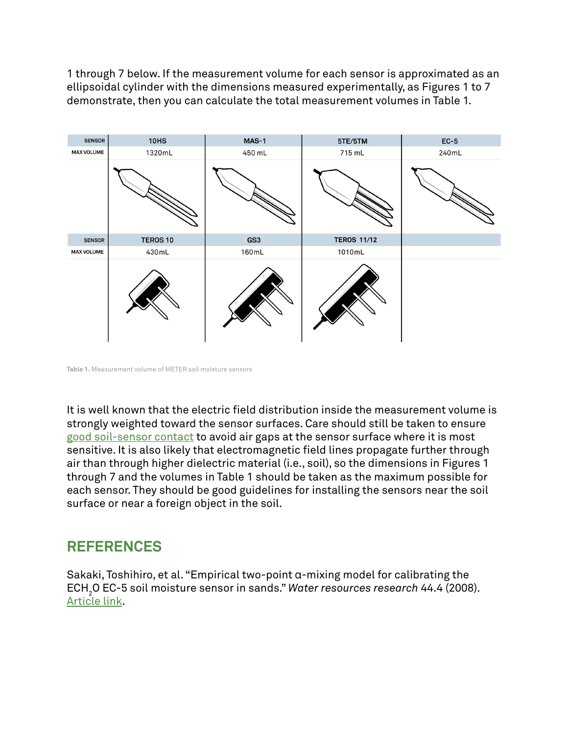1 through 7 below. If the measurement volume for each sensor is approximated as an ellipsoidal cylinder with the dimensions measured experimentally, as Figures 1 to 7 demonstrate, then you can calculate the total measurement volumes in Table 1.



**Table 1.** Measurement volume of METER soil moisture sensors

It is well known that the electric field distribution inside the measurement volume is strongly weighted toward the sensor surfaces. Care should still be taken to ensure [good soil-sensor contact](https://www.metergroup.com/environment/articles/soil-moisture-sensors-which-installation-method-best/) to avoid air gaps at the sensor surface where it is most sensitive. It is also likely that electromagnetic field lines propagate further through air than through higher dielectric material (i.e., soil), so the dimensions in Figures 1 through 7 and the volumes in Table 1 should be taken as the maximum possible for each sensor. They should be good guidelines for installing the sensors near the soil surface or near a foreign object in the soil.

#### **REFERENCES**

Sakaki, Toshihiro, et al. "Empirical two-point ɑ-mixing model for calibrating the ECH2 O EC-5 soil moisture sensor in sands." *Water resources research* 44.4 (2008). [Article link.](http://onlinelibrary.wiley.com/doi/10.1029/2008WR006870/full)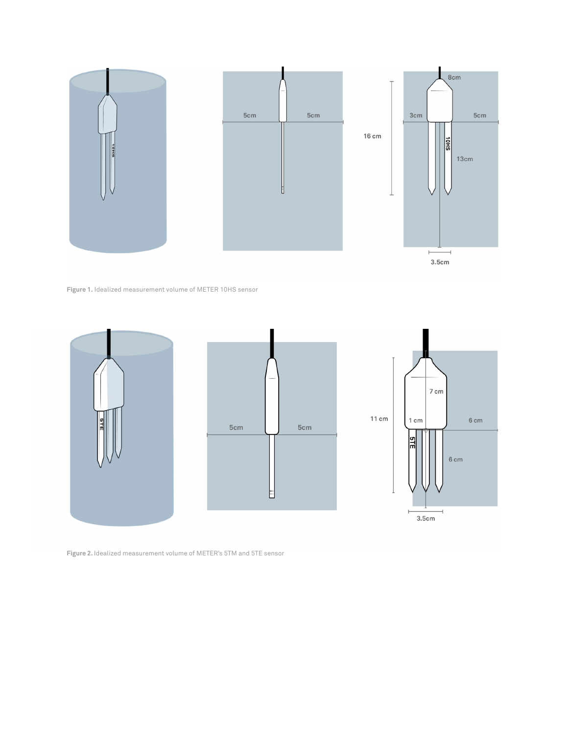

 $3.5cm$ 

**Figure 1.** Idealized measurement volume of METER 10HS sensor



**Figure 2.** Idealized measurement volume of METER's 5TM and 5TE sensor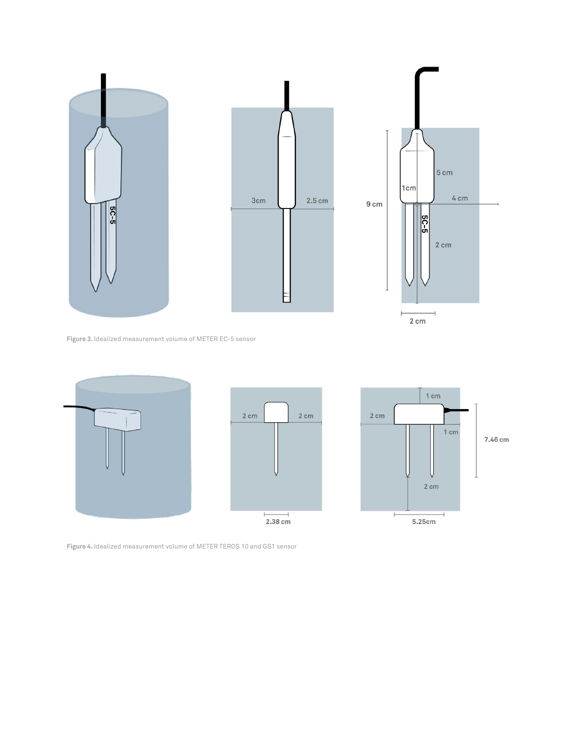

**Figure 3.** Idealized measurement volume of METER EC-5 sensor



**Figure 4.** Idealized measurement volume of METER TEROS 10 and GS1 sensor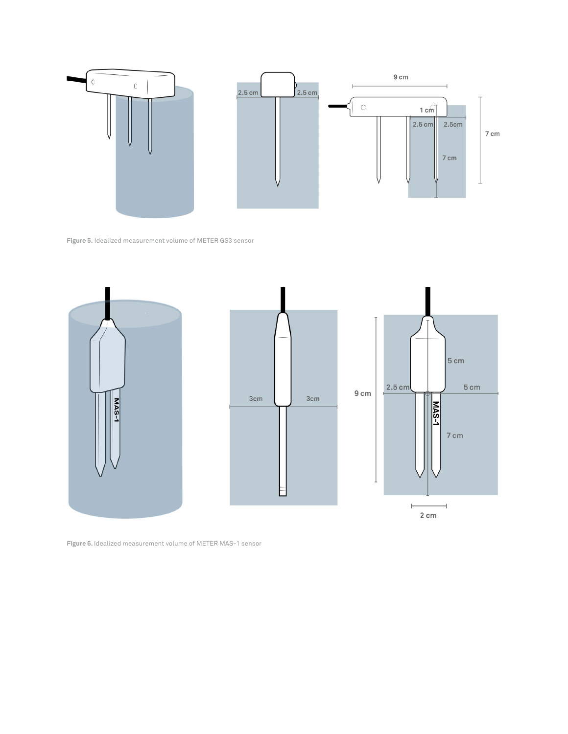

**Figure 5.** Idealized measurement volume of METER GS3 sensor



**Figure 6.** Idealized measurement volume of METER MAS-1 sensor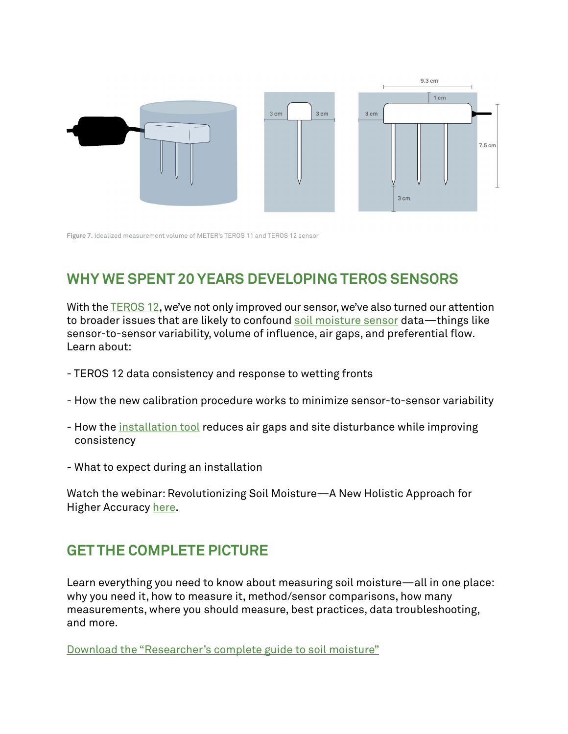

**Figure 7.** Idealized measurement volume of METER's TEROS 11 and TEROS 12 sensor

# **WHY WE SPENT 20 YEARS DEVELOPING TEROS SENSORS**

With the [TEROS 12](https://www.metergroup.com/en/meter-environment/products/teros-12-soil-moisture-sensor), we've not only improved our sensor, we've also turned our attention to broader issues that are likely to confound [soil moisture sensor](https://www.metergroup.com/en/meter-environment/measurement-insights/which-soil-moisture-sensor-perfect-you) data—things like sensor-to-sensor variability, volume of influence, air gaps, and preferential flow. Learn about:

- TEROS 12 data consistency and response to wetting fronts
- How the new calibration procedure works to minimize sensor-to-sensor variability
- How the [installation tool](https://www.metergroup.com/en/meter-environment/products/teros-borehole-installation-tool) reduces air gaps and site disturbance while improving consistency
- What to expect during an installation

Watch the webinar: Revolutionizing Soil Moisture—A New Holistic Approach for Higher Accuracy [here](https://www.youtube.com/watch?v=8qWe9oSY6yY).

## **GET THE COMPLETE PICTURE**

Learn everything you need to know about measuring soil moisture—all in one place: why you need it, how to measure it, method/sensor comparisons, how many measurements, where you should measure, best practices, data troubleshooting, and more.

[Download the "Researcher's complete guide to soil moisture"](https://www.metergroup.com/en/meter-environment/education-guides/researchers-complete-guide-soil-moisture)